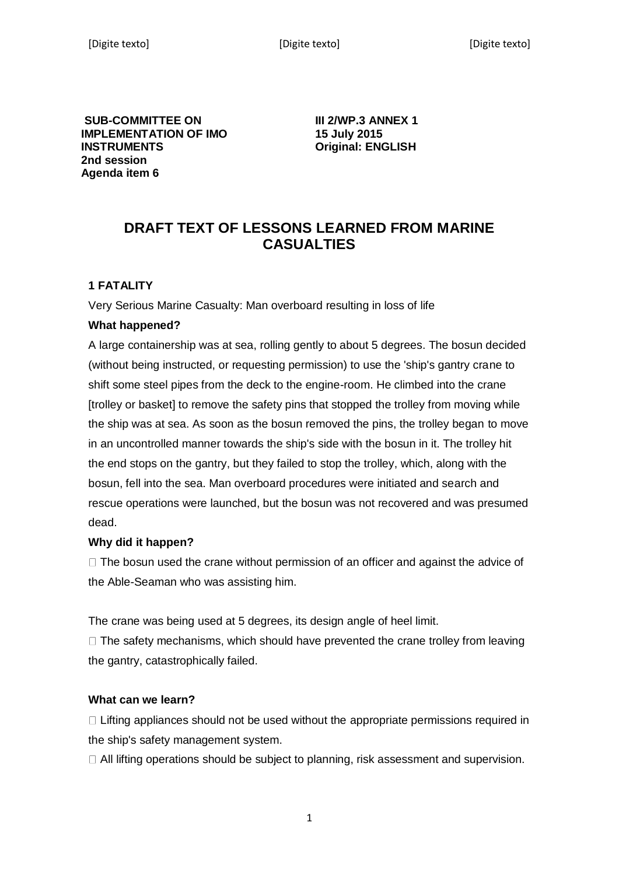**SUB-COMMITTEE ON IMPLEMENTATION OF IMO INSTRUMENTS 2nd session Agenda item 6** 

**III 2/WP.3 ANNEX 1 15 July 2015 Original: ENGLISH** 

# **DRAFT TEXT OF LESSONS LEARNED FROM MARINE CASUALTIES**

## **1 FATALITY**

Very Serious Marine Casualty: Man overboard resulting in loss of life

#### **What happened?**

A large containership was at sea, rolling gently to about 5 degrees. The bosun decided (without being instructed, or requesting permission) to use the 'ship's gantry crane to shift some steel pipes from the deck to the engine-room. He climbed into the crane [trolley or basket] to remove the safety pins that stopped the trolley from moving while the ship was at sea. As soon as the bosun removed the pins, the trolley began to move in an uncontrolled manner towards the ship's side with the bosun in it. The trolley hit the end stops on the gantry, but they failed to stop the trolley, which, along with the bosun, fell into the sea. Man overboard procedures were initiated and search and rescue operations were launched, but the bosun was not recovered and was presumed dead.

#### **Why did it happen?**

 $\Box$  The bosun used the crane without permission of an officer and against the advice of the Able-Seaman who was assisting him.

The crane was being used at 5 degrees, its design angle of heel limit.

 $\Box$  The safety mechanisms, which should have prevented the crane trolley from leaving the gantry, catastrophically failed.

#### **What can we learn?**

 $\Box$  Lifting appliances should not be used without the appropriate permissions required in the ship's safety management system.

 $\Box$  All lifting operations should be subject to planning, risk assessment and supervision.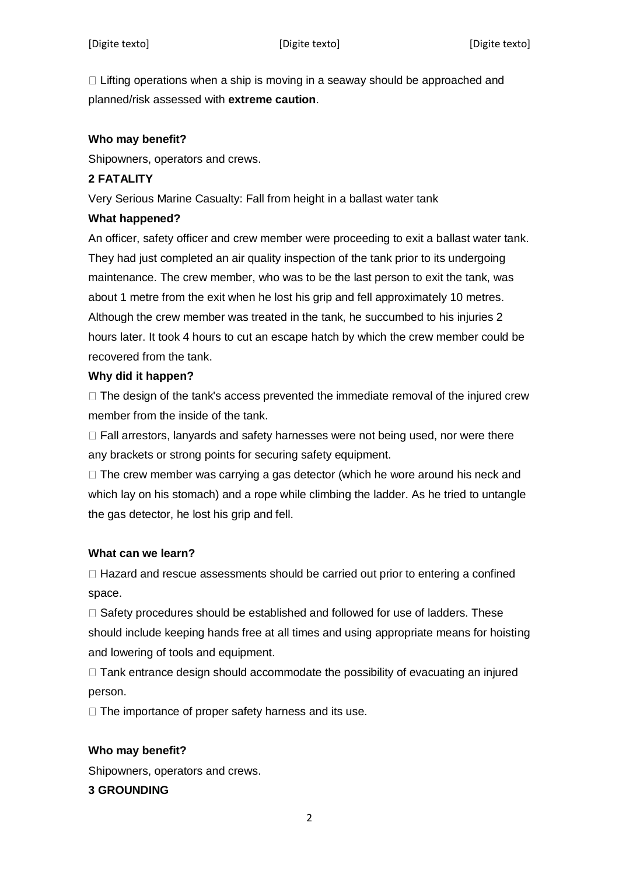$\Box$  Lifting operations when a ship is moving in a seaway should be approached and planned/risk assessed with **extreme caution**.

### **Who may benefit?**

Shipowners, operators and crews.

## **2 FATALITY**

Very Serious Marine Casualty: Fall from height in a ballast water tank

#### **What happened?**

An officer, safety officer and crew member were proceeding to exit a ballast water tank. They had just completed an air quality inspection of the tank prior to its undergoing maintenance. The crew member, who was to be the last person to exit the tank, was about 1 metre from the exit when he lost his grip and fell approximately 10 metres. Although the crew member was treated in the tank, he succumbed to his injuries 2 hours later. It took 4 hours to cut an escape hatch by which the crew member could be recovered from the tank.

### **Why did it happen?**

 $\Box$  The design of the tank's access prevented the immediate removal of the injured crew member from the inside of the tank.

 $\Box$  Fall arrestors, lanyards and safety harnesses were not being used, nor were there any brackets or strong points for securing safety equipment.

 $\Box$  The crew member was carrying a gas detector (which he wore around his neck and which lay on his stomach) and a rope while climbing the ladder. As he tried to untangle the gas detector, he lost his grip and fell.

## **What can we learn?**

 $\Box$  Hazard and rescue assessments should be carried out prior to entering a confined space.

 $\Box$  Safety procedures should be established and followed for use of ladders. These should include keeping hands free at all times and using appropriate means for hoisting and lowering of tools and equipment.

 $\Box$  Tank entrance design should accommodate the possibility of evacuating an injured person.

 $\Box$  The importance of proper safety harness and its use.

## **Who may benefit?**

Shipowners, operators and crews.

## **3 GROUNDING**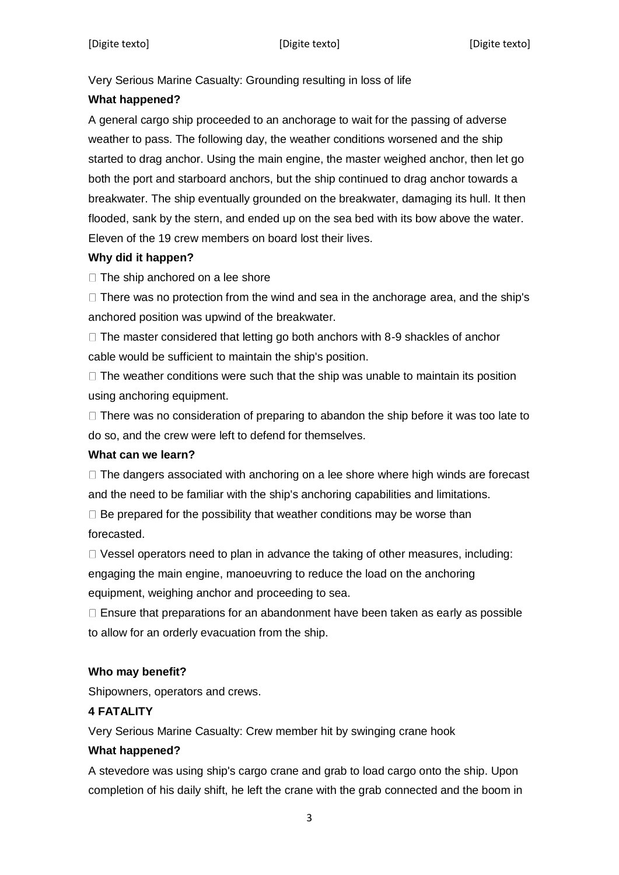Very Serious Marine Casualty: Grounding resulting in loss of life

## **What happened?**

A general cargo ship proceeded to an anchorage to wait for the passing of adverse weather to pass. The following day, the weather conditions worsened and the ship started to drag anchor. Using the main engine, the master weighed anchor, then let go both the port and starboard anchors, but the ship continued to drag anchor towards a breakwater. The ship eventually grounded on the breakwater, damaging its hull. It then flooded, sank by the stern, and ended up on the sea bed with its bow above the water. Eleven of the 19 crew members on board lost their lives.

## **Why did it happen?**

 $\Box$  The ship anchored on a lee shore

 $\Box$  There was no protection from the wind and sea in the anchorage area, and the ship's anchored position was upwind of the breakwater.

 $\Box$  The master considered that letting go both anchors with 8-9 shackles of anchor cable would be sufficient to maintain the ship's position.

 $\Box$  The weather conditions were such that the ship was unable to maintain its position using anchoring equipment.

 $\Box$  There was no consideration of preparing to abandon the ship before it was too late to do so, and the crew were left to defend for themselves.

## **What can we learn?**

 $\Box$  The dangers associated with anchoring on a lee shore where high winds are forecast and the need to be familiar with the ship's anchoring capabilities and limitations.

 $\Box$  Be prepared for the possibility that weather conditions may be worse than forecasted.

 $\Box$  Vessel operators need to plan in advance the taking of other measures, including: engaging the main engine, manoeuvring to reduce the load on the anchoring equipment, weighing anchor and proceeding to sea.

 $\Box$  Ensure that preparations for an abandonment have been taken as early as possible to allow for an orderly evacuation from the ship.

## **Who may benefit?**

Shipowners, operators and crews.

## **4 FATALITY**

Very Serious Marine Casualty: Crew member hit by swinging crane hook

## **What happened?**

A stevedore was using ship's cargo crane and grab to load cargo onto the ship. Upon completion of his daily shift, he left the crane with the grab connected and the boom in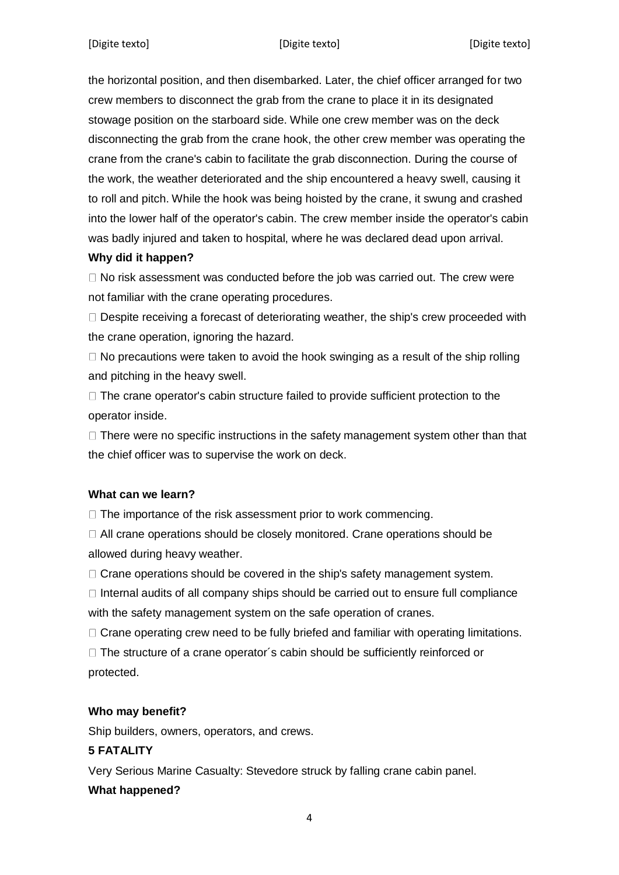the horizontal position, and then disembarked. Later, the chief officer arranged for two crew members to disconnect the grab from the crane to place it in its designated stowage position on the starboard side. While one crew member was on the deck disconnecting the grab from the crane hook, the other crew member was operating the crane from the crane's cabin to facilitate the grab disconnection. During the course of the work, the weather deteriorated and the ship encountered a heavy swell, causing it to roll and pitch. While the hook was being hoisted by the crane, it swung and crashed into the lower half of the operator's cabin. The crew member inside the operator's cabin was badly injured and taken to hospital, where he was declared dead upon arrival.

## **Why did it happen?**

 $\Box$  No risk assessment was conducted before the job was carried out. The crew were not familiar with the crane operating procedures.

 $\square$  Despite receiving a forecast of deteriorating weather, the ship's crew proceeded with the crane operation, ignoring the hazard.

 $\Box$  No precautions were taken to avoid the hook swinging as a result of the ship rolling and pitching in the heavy swell.

 $\Box$  The crane operator's cabin structure failed to provide sufficient protection to the operator inside.

 $\Box$  There were no specific instructions in the safety management system other than that the chief officer was to supervise the work on deck.

## **What can we learn?**

 $\Box$  The importance of the risk assessment prior to work commencing.

 $\Box$  All crane operations should be closely monitored. Crane operations should be allowed during heavy weather.

 $\Box$  Crane operations should be covered in the ship's safety management system.

 $\Box$  Internal audits of all company ships should be carried out to ensure full compliance with the safety management system on the safe operation of cranes.

 $\Box$  Crane operating crew need to be fully briefed and familiar with operating limitations.

 $\Box$  The structure of a crane operator's cabin should be sufficiently reinforced or protected.

## **Who may benefit?**

Ship builders, owners, operators, and crews.

## **5 FATALITY**

Very Serious Marine Casualty: Stevedore struck by falling crane cabin panel.

## **What happened?**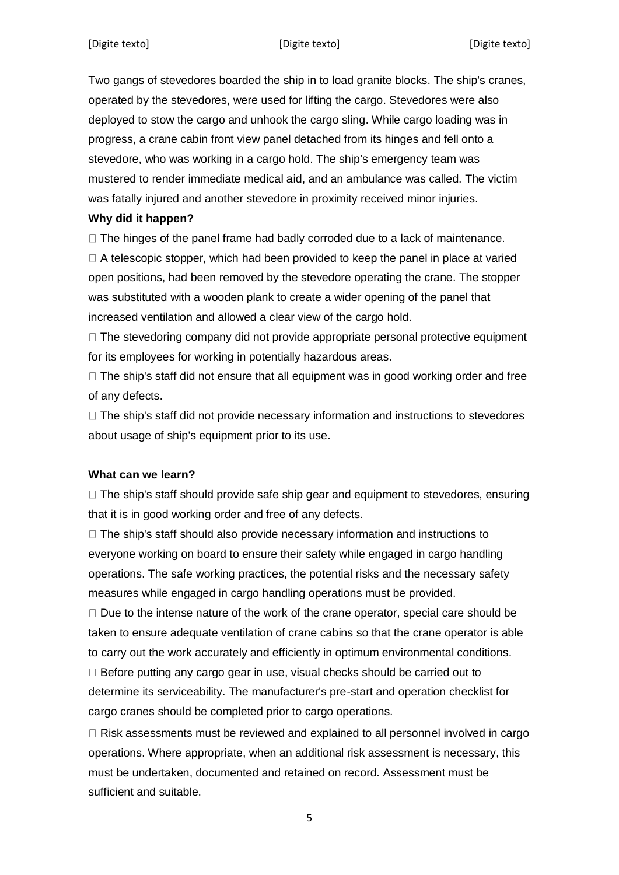Two gangs of stevedores boarded the ship in to load granite blocks. The ship's cranes, operated by the stevedores, were used for lifting the cargo. Stevedores were also deployed to stow the cargo and unhook the cargo sling. While cargo loading was in progress, a crane cabin front view panel detached from its hinges and fell onto a stevedore, who was working in a cargo hold. The ship's emergency team was mustered to render immediate medical aid, and an ambulance was called. The victim was fatally injured and another stevedore in proximity received minor injuries.

### **Why did it happen?**

 $\Box$  The hinges of the panel frame had badly corroded due to a lack of maintenance.

 $\Box$  A telescopic stopper, which had been provided to keep the panel in place at varied open positions, had been removed by the stevedore operating the crane. The stopper was substituted with a wooden plank to create a wider opening of the panel that increased ventilation and allowed a clear view of the cargo hold.

 $\Box$  The stevedoring company did not provide appropriate personal protective equipment for its employees for working in potentially hazardous areas.

 $\Box$  The ship's staff did not ensure that all equipment was in good working order and free of any defects.

 $\Box$  The ship's staff did not provide necessary information and instructions to stevedores about usage of ship's equipment prior to its use.

## **What can we learn?**

 $\Box$  The ship's staff should provide safe ship gear and equipment to stevedores, ensuring that it is in good working order and free of any defects.

 $\Box$  The ship's staff should also provide necessary information and instructions to everyone working on board to ensure their safety while engaged in cargo handling operations. The safe working practices, the potential risks and the necessary safety measures while engaged in cargo handling operations must be provided.

 $\Box$  Due to the intense nature of the work of the crane operator, special care should be taken to ensure adequate ventilation of crane cabins so that the crane operator is able to carry out the work accurately and efficiently in optimum environmental conditions.

 $\Box$  Before putting any cargo gear in use, visual checks should be carried out to determine its serviceability. The manufacturer's pre-start and operation checklist for cargo cranes should be completed prior to cargo operations.

 $\Box$  Risk assessments must be reviewed and explained to all personnel involved in cargo operations. Where appropriate, when an additional risk assessment is necessary, this must be undertaken, documented and retained on record. Assessment must be sufficient and suitable.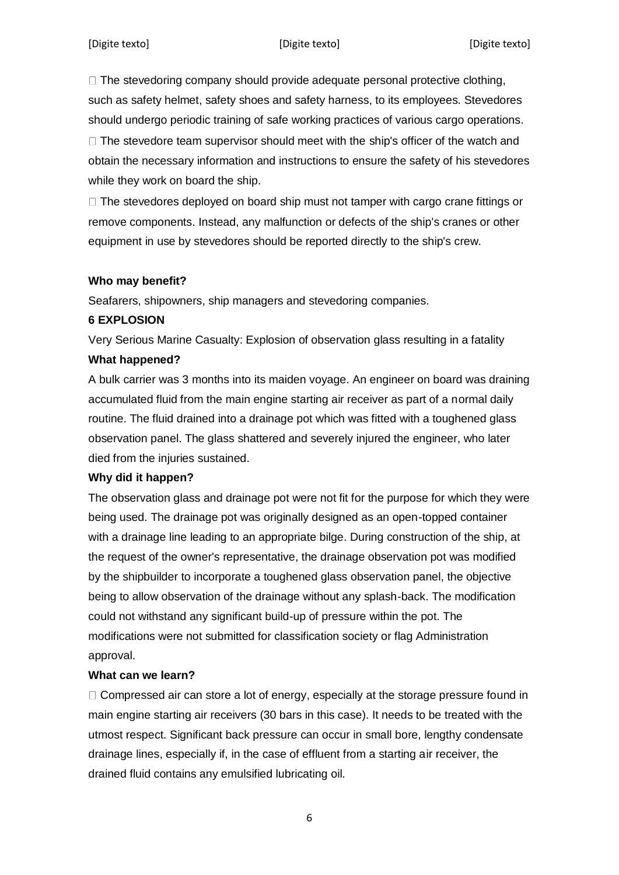$\Box$  The stevedoring company should provide adequate personal protective clothing, such as safety helmet, safety shoes and safety harness, to its employees. Stevedores should undergo periodic training of safe working practices of various cargo operations.

 $\Box$  The stevedore team supervisor should meet with the ship's officer of the watch and obtain the necessary information and instructions to ensure the safety of his stevedores while they work on board the ship.

 $\Box$  The stevedores deployed on board ship must not tamper with cargo crane fittings or remove components. Instead, any malfunction or defects of the ship's cranes or other equipment in use by stevedores should be reported directly to the ship's crew.

#### **Who may benefit?**

Seafarers, shipowners, ship managers and stevedoring companies.

#### **6 EXPLOSION**

Very Serious Marine Casualty: Explosion of observation glass resulting in a fatality

#### **What happened?**

A bulk carrier was 3 months into its maiden voyage. An engineer on board was draining accumulated fluid from the main engine starting air receiver as part of a normal daily routine. The fluid drained into a drainage pot which was fitted with a toughened glass observation panel. The glass shattered and severely injured the engineer, who later died from the injuries sustained.

## **Why did it happen?**

The observation glass and drainage pot were not fit for the purpose for which they were being used. The drainage pot was originally designed as an open-topped container with a drainage line leading to an appropriate bilge. During construction of the ship, at the request of the owner's representative, the drainage observation pot was modified by the shipbuilder to incorporate a toughened glass observation panel, the objective being to allow observation of the drainage without any splash-back. The modification could not withstand any significant build-up of pressure within the pot. The modifications were not submitted for classification society or flag Administration approval.

#### **What can we learn?**

 $\Box$  Compressed air can store a lot of energy, especially at the storage pressure found in main engine starting air receivers (30 bars in this case). It needs to be treated with the utmost respect. Significant back pressure can occur in small bore, lengthy condensate drainage lines, especially if, in the case of effluent from a starting air receiver, the drained fluid contains any emulsified lubricating oil.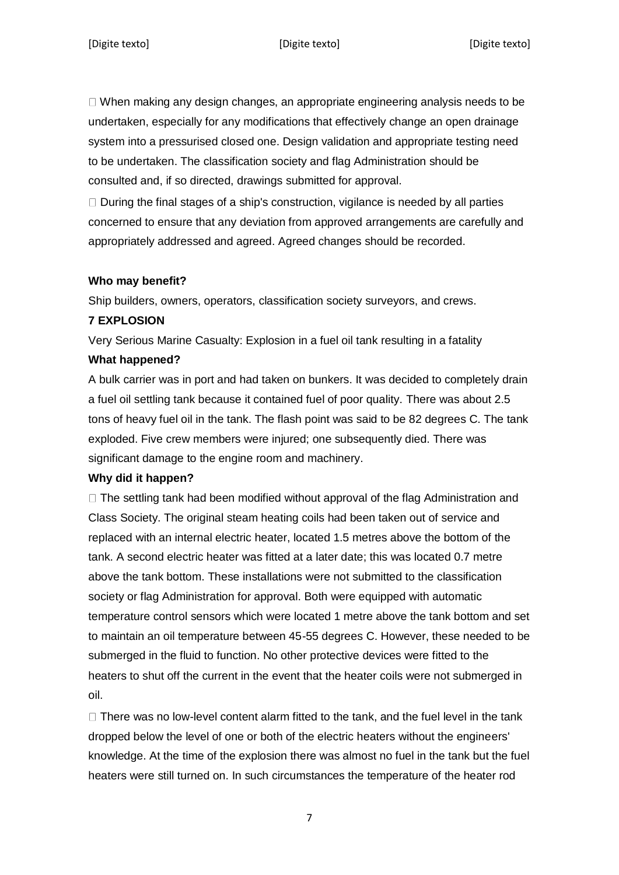$\Box$  When making any design changes, an appropriate engineering analysis needs to be undertaken, especially for any modifications that effectively change an open drainage system into a pressurised closed one. Design validation and appropriate testing need to be undertaken. The classification society and flag Administration should be consulted and, if so directed, drawings submitted for approval.

 $\Box$  During the final stages of a ship's construction, vigilance is needed by all parties concerned to ensure that any deviation from approved arrangements are carefully and appropriately addressed and agreed. Agreed changes should be recorded.

#### **Who may benefit?**

Ship builders, owners, operators, classification society surveyors, and crews.

#### **7 EXPLOSION**

Very Serious Marine Casualty: Explosion in a fuel oil tank resulting in a fatality

#### **What happened?**

A bulk carrier was in port and had taken on bunkers. It was decided to completely drain a fuel oil settling tank because it contained fuel of poor quality. There was about 2.5 tons of heavy fuel oil in the tank. The flash point was said to be 82 degrees C. The tank exploded. Five crew members were injured; one subsequently died. There was significant damage to the engine room and machinery.

#### **Why did it happen?**

 $\Box$  The settling tank had been modified without approval of the flag Administration and Class Society. The original steam heating coils had been taken out of service and replaced with an internal electric heater, located 1.5 metres above the bottom of the tank. A second electric heater was fitted at a later date; this was located 0.7 metre above the tank bottom. These installations were not submitted to the classification society or flag Administration for approval. Both were equipped with automatic temperature control sensors which were located 1 metre above the tank bottom and set to maintain an oil temperature between 45-55 degrees C. However, these needed to be submerged in the fluid to function. No other protective devices were fitted to the heaters to shut off the current in the event that the heater coils were not submerged in oil.

 $\Box$  There was no low-level content alarm fitted to the tank, and the fuel level in the tank dropped below the level of one or both of the electric heaters without the engineers' knowledge. At the time of the explosion there was almost no fuel in the tank but the fuel heaters were still turned on. In such circumstances the temperature of the heater rod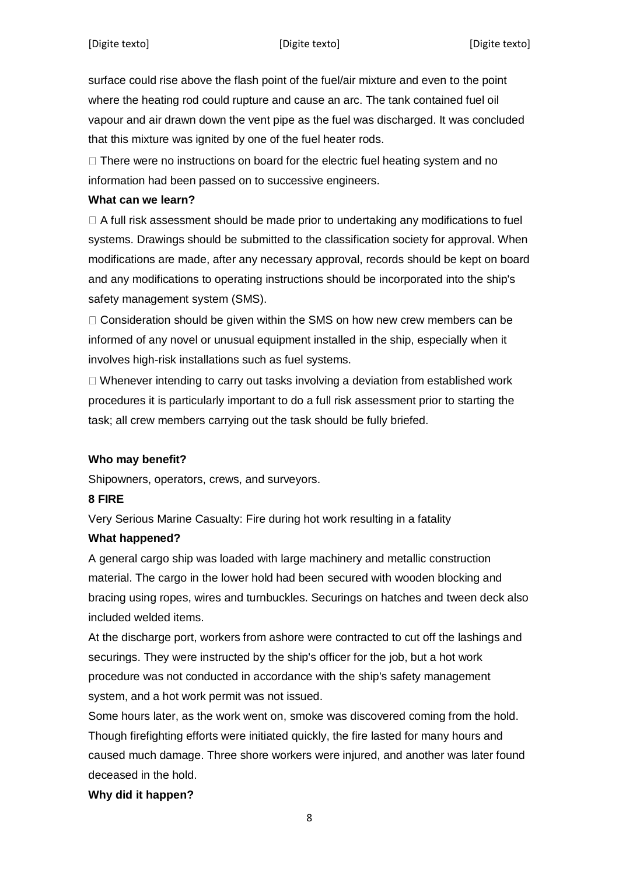surface could rise above the flash point of the fuel/air mixture and even to the point where the heating rod could rupture and cause an arc. The tank contained fuel oil vapour and air drawn down the vent pipe as the fuel was discharged. It was concluded that this mixture was ignited by one of the fuel heater rods.

 $\Box$  There were no instructions on board for the electric fuel heating system and no information had been passed on to successive engineers.

#### **What can we learn?**

A full risk assessment should be made prior to undertaking any modifications to fuel systems. Drawings should be submitted to the classification society for approval. When modifications are made, after any necessary approval, records should be kept on board and any modifications to operating instructions should be incorporated into the ship's safety management system (SMS).

 $\Box$  Consideration should be given within the SMS on how new crew members can be informed of any novel or unusual equipment installed in the ship, especially when it involves high-risk installations such as fuel systems.

 $\Box$  Whenever intending to carry out tasks involving a deviation from established work procedures it is particularly important to do a full risk assessment prior to starting the task; all crew members carrying out the task should be fully briefed.

#### **Who may benefit?**

Shipowners, operators, crews, and surveyors.

#### **8 FIRE**

Very Serious Marine Casualty: Fire during hot work resulting in a fatality

#### **What happened?**

A general cargo ship was loaded with large machinery and metallic construction material. The cargo in the lower hold had been secured with wooden blocking and bracing using ropes, wires and turnbuckles. Securings on hatches and tween deck also included welded items.

At the discharge port, workers from ashore were contracted to cut off the lashings and securings. They were instructed by the ship's officer for the job, but a hot work procedure was not conducted in accordance with the ship's safety management system, and a hot work permit was not issued.

Some hours later, as the work went on, smoke was discovered coming from the hold. Though firefighting efforts were initiated quickly, the fire lasted for many hours and caused much damage. Three shore workers were injured, and another was later found deceased in the hold.

## **Why did it happen?**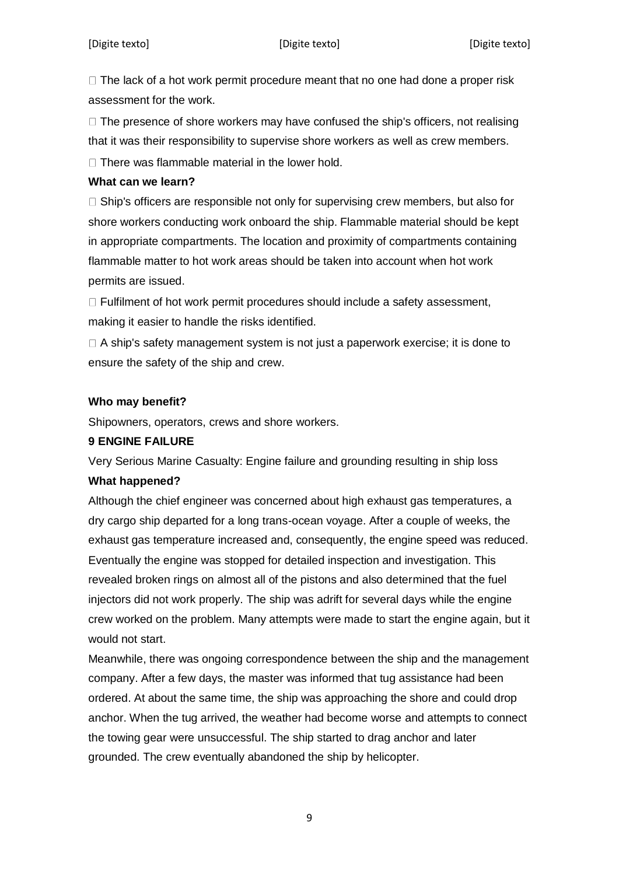$\Box$  The lack of a hot work permit procedure meant that no one had done a proper risk assessment for the work.

 $\Box$  The presence of shore workers may have confused the ship's officers, not realising that it was their responsibility to supervise shore workers as well as crew members.

 $\Box$  There was flammable material in the lower hold.

#### **What can we learn?**

 $\Box$  Ship's officers are responsible not only for supervising crew members, but also for shore workers conducting work onboard the ship. Flammable material should be kept in appropriate compartments. The location and proximity of compartments containing flammable matter to hot work areas should be taken into account when hot work permits are issued.

 $\Box$  Fulfilment of hot work permit procedures should include a safety assessment, making it easier to handle the risks identified.

 $\Box$  A ship's safety management system is not just a paperwork exercise; it is done to ensure the safety of the ship and crew.

### **Who may benefit?**

Shipowners, operators, crews and shore workers.

#### **9 ENGINE FAILURE**

Very Serious Marine Casualty: Engine failure and grounding resulting in ship loss **What happened?** 

Although the chief engineer was concerned about high exhaust gas temperatures, a dry cargo ship departed for a long trans-ocean voyage. After a couple of weeks, the exhaust gas temperature increased and, consequently, the engine speed was reduced. Eventually the engine was stopped for detailed inspection and investigation. This revealed broken rings on almost all of the pistons and also determined that the fuel injectors did not work properly. The ship was adrift for several days while the engine crew worked on the problem. Many attempts were made to start the engine again, but it would not start.

Meanwhile, there was ongoing correspondence between the ship and the management company. After a few days, the master was informed that tug assistance had been ordered. At about the same time, the ship was approaching the shore and could drop anchor. When the tug arrived, the weather had become worse and attempts to connect the towing gear were unsuccessful. The ship started to drag anchor and later grounded. The crew eventually abandoned the ship by helicopter.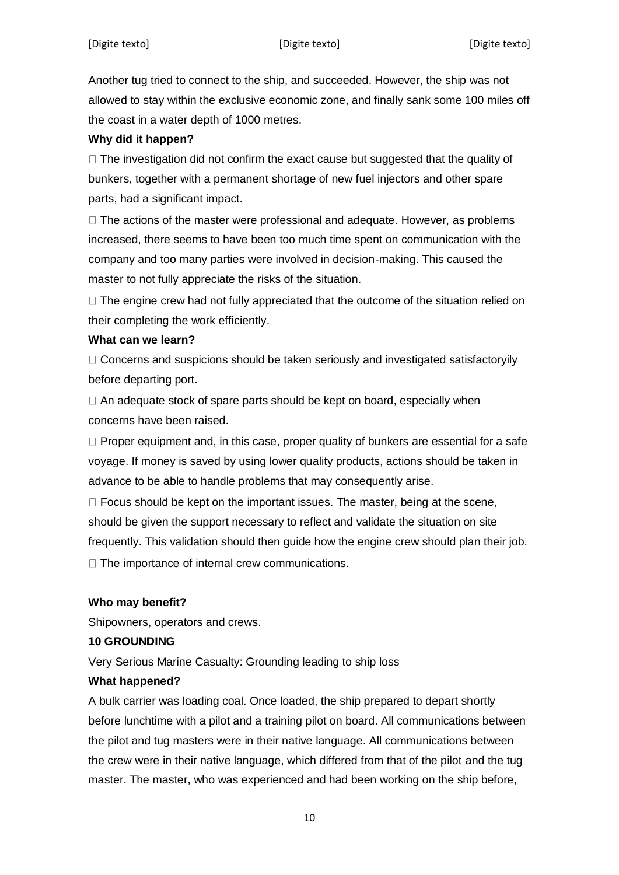Another tug tried to connect to the ship, and succeeded. However, the ship was not allowed to stay within the exclusive economic zone, and finally sank some 100 miles off the coast in a water depth of 1000 metres.

#### **Why did it happen?**

 $\Box$  The investigation did not confirm the exact cause but suggested that the quality of bunkers, together with a permanent shortage of new fuel injectors and other spare parts, had a significant impact.

 $\Box$  The actions of the master were professional and adequate. However, as problems increased, there seems to have been too much time spent on communication with the company and too many parties were involved in decision-making. This caused the master to not fully appreciate the risks of the situation.

 $\Box$  The engine crew had not fully appreciated that the outcome of the situation relied on their completing the work efficiently.

#### **What can we learn?**

 $\Box$  Concerns and suspicions should be taken seriously and investigated satisfactoryily before departing port.

 $\Box$  An adequate stock of spare parts should be kept on board, especially when concerns have been raised.

 $\Box$  Proper equipment and, in this case, proper quality of bunkers are essential for a safe voyage. If money is saved by using lower quality products, actions should be taken in advance to be able to handle problems that may consequently arise.

 $\Box$  Focus should be kept on the important issues. The master, being at the scene, should be given the support necessary to reflect and validate the situation on site frequently. This validation should then guide how the engine crew should plan their job.  $\Box$  The importance of internal crew communications.

#### **Who may benefit?**

Shipowners, operators and crews.

#### **10 GROUNDING**

Very Serious Marine Casualty: Grounding leading to ship loss

#### **What happened?**

A bulk carrier was loading coal. Once loaded, the ship prepared to depart shortly before lunchtime with a pilot and a training pilot on board. All communications between the pilot and tug masters were in their native language. All communications between the crew were in their native language, which differed from that of the pilot and the tug master. The master, who was experienced and had been working on the ship before,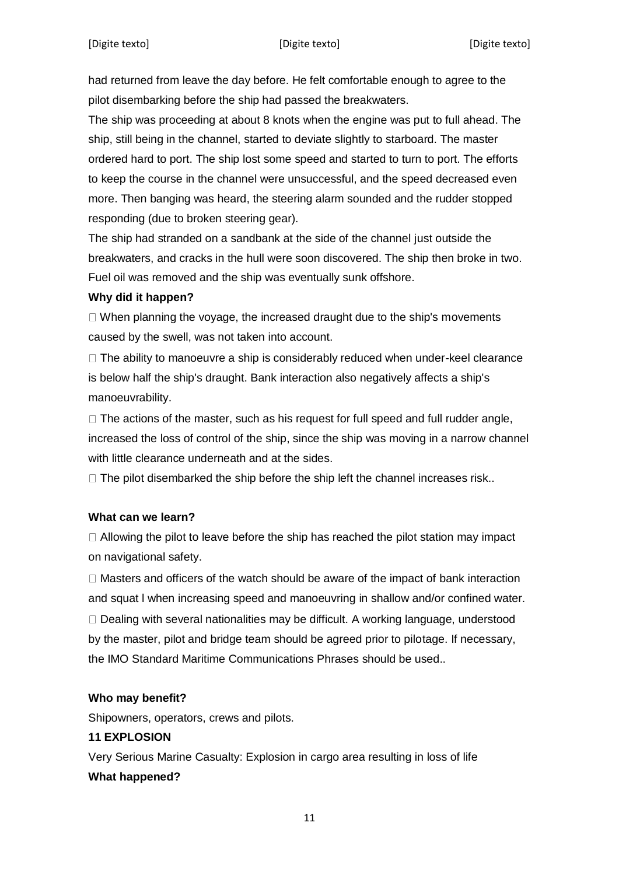had returned from leave the day before. He felt comfortable enough to agree to the pilot disembarking before the ship had passed the breakwaters.

The ship was proceeding at about 8 knots when the engine was put to full ahead. The ship, still being in the channel, started to deviate slightly to starboard. The master ordered hard to port. The ship lost some speed and started to turn to port. The efforts to keep the course in the channel were unsuccessful, and the speed decreased even more. Then banging was heard, the steering alarm sounded and the rudder stopped responding (due to broken steering gear).

The ship had stranded on a sandbank at the side of the channel just outside the breakwaters, and cracks in the hull were soon discovered. The ship then broke in two. Fuel oil was removed and the ship was eventually sunk offshore.

### **Why did it happen?**

 $\Box$  When planning the voyage, the increased draught due to the ship's movements caused by the swell, was not taken into account.

 $\Box$  The ability to manoeuvre a ship is considerably reduced when under-keel clearance is below half the ship's draught. Bank interaction also negatively affects a ship's manoeuvrability.

 $\Box$  The actions of the master, such as his request for full speed and full rudder angle, increased the loss of control of the ship, since the ship was moving in a narrow channel with little clearance underneath and at the sides.

 $\Box$  The pilot disembarked the ship before the ship left the channel increases risk..

## **What can we learn?**

 $\Box$  Allowing the pilot to leave before the ship has reached the pilot station may impact on navigational safety.

 $\Box$  Masters and officers of the watch should be aware of the impact of bank interaction and squat l when increasing speed and manoeuvring in shallow and/or confined water.  $\Box$  Dealing with several nationalities may be difficult. A working language, understood by the master, pilot and bridge team should be agreed prior to pilotage. If necessary, the IMO Standard Maritime Communications Phrases should be used..

## **Who may benefit?**

Shipowners, operators, crews and pilots.

#### **11 EXPLOSION**

Very Serious Marine Casualty: Explosion in cargo area resulting in loss of life **What happened?**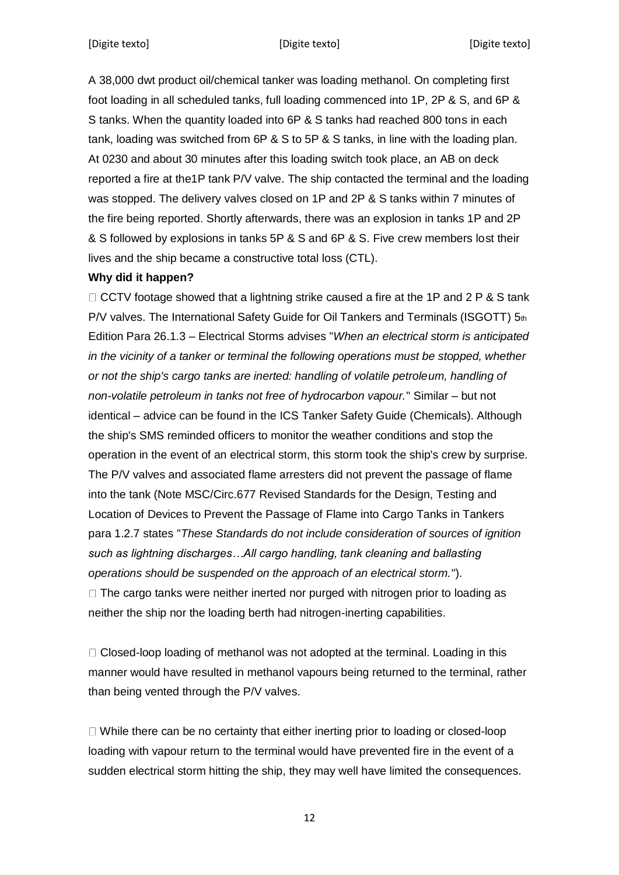A 38,000 dwt product oil/chemical tanker was loading methanol. On completing first foot loading in all scheduled tanks, full loading commenced into 1P, 2P & S, and 6P & S tanks. When the quantity loaded into 6P & S tanks had reached 800 tons in each tank, loading was switched from 6P & S to 5P & S tanks, in line with the loading plan. At 0230 and about 30 minutes after this loading switch took place, an AB on deck reported a fire at the1P tank P/V valve. The ship contacted the terminal and the loading was stopped. The delivery valves closed on 1P and 2P & S tanks within 7 minutes of the fire being reported. Shortly afterwards, there was an explosion in tanks 1P and 2P & S followed by explosions in tanks 5P & S and 6P & S. Five crew members lost their lives and the ship became a constructive total loss (CTL).

### **Why did it happen?**

 $\Box$  CCTV footage showed that a lightning strike caused a fire at the 1P and 2 P & S tank P/V valves. The International Safety Guide for Oil Tankers and Terminals (ISGOTT) 5th Edition Para 26.1.3 – Electrical Storms advises "*When an electrical storm is anticipated in the vicinity of a tanker or terminal the following operations must be stopped, whether or not the ship's cargo tanks are inerted: handling of volatile petroleum, handling of non-volatile petroleum in tanks not free of hydrocarbon vapour.*" Similar – but not identical – advice can be found in the ICS Tanker Safety Guide (Chemicals). Although the ship's SMS reminded officers to monitor the weather conditions and stop the operation in the event of an electrical storm, this storm took the ship's crew by surprise. The P/V valves and associated flame arresters did not prevent the passage of flame into the tank (Note MSC/Circ.677 Revised Standards for the Design, Testing and Location of Devices to Prevent the Passage of Flame into Cargo Tanks in Tankers para 1.2.7 states "*These Standards do not include consideration of sources of ignition such as lightning discharges…All cargo handling, tank cleaning and ballasting operations should be suspended on the approach of an electrical storm.*").  $\Box$  The cargo tanks were neither inerted nor purged with nitrogen prior to loading as neither the ship nor the loading berth had nitrogen-inerting capabilities.

 $\Box$  Closed-loop loading of methanol was not adopted at the terminal. Loading in this manner would have resulted in methanol vapours being returned to the terminal, rather than being vented through the P/V valves.

 $\Box$  While there can be no certainty that either inerting prior to loading or closed-loop loading with vapour return to the terminal would have prevented fire in the event of a sudden electrical storm hitting the ship, they may well have limited the consequences.